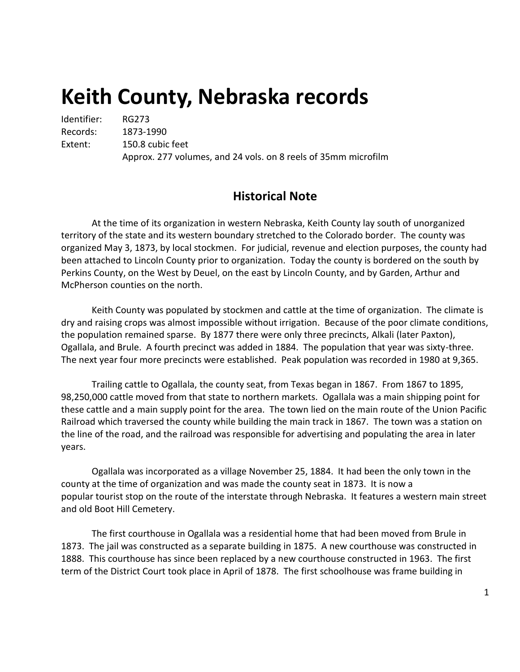# **Keith County, Nebraska records**

Identifier: RG273 Records: 1873-1990 Extent: 150.8 cubic feet Approx. 277 volumes, and 24 vols. on 8 reels of 35mm microfilm

# **Historical Note**

At the time of its organization in western Nebraska, Keith County lay south of unorganized territory of the state and its western boundary stretched to the Colorado border. The county was organized May 3, 1873, by local stockmen. For judicial, revenue and election purposes, the county had been attached to Lincoln County prior to organization. Today the county is bordered on the south by Perkins County, on the West by Deuel, on the east by Lincoln County, and by Garden, Arthur and McPherson counties on the north.

Keith County was populated by stockmen and cattle at the time of organization. The climate is dry and raising crops was almost impossible without irrigation. Because of the poor climate conditions, the population remained sparse. By 1877 there were only three precincts, Alkali (later Paxton), Ogallala, and Brule. A fourth precinct was added in 1884. The population that year was sixty-three. The next year four more precincts were established. Peak population was recorded in 1980 at 9,365.

Trailing cattle to Ogallala, the county seat, from Texas began in 1867. From 1867 to 1895, 98,250,000 cattle moved from that state to northern markets. Ogallala was a main shipping point for these cattle and a main supply point for the area. The town lied on the main route of the Union Pacific Railroad which traversed the county while building the main track in 1867. The town was a station on the line of the road, and the railroad was responsible for advertising and populating the area in later years.

Ogallala was incorporated as a village November 25, 1884. It had been the only town in the county at the time of organization and was made the county seat in 1873. It is now a popular tourist stop on the route of the interstate through Nebraska. It features a western main street and old Boot Hill Cemetery.

The first courthouse in Ogallala was a residential home that had been moved from Brule in 1873. The jail was constructed as a separate building in 1875. A new courthouse was constructed in 1888. This courthouse has since been replaced by a new courthouse constructed in 1963. The first term of the District Court took place in April of 1878. The first schoolhouse was frame building in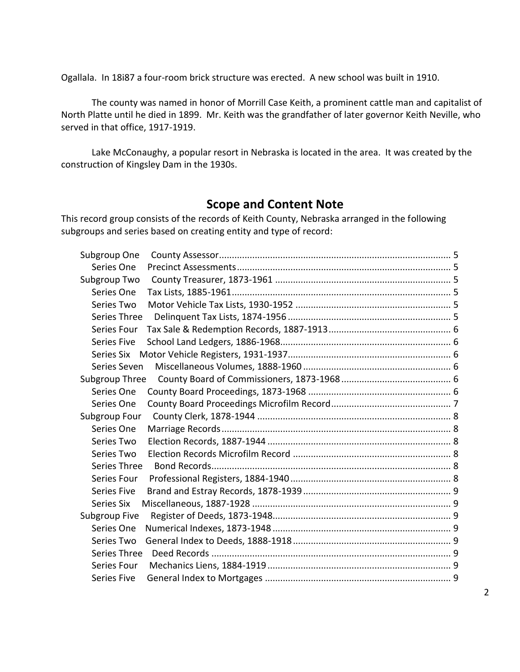Ogallala. In 18i87 a four-room brick structure was erected. A new school was built in 1910.

The county was named in honor of Morrill Case Keith, a prominent cattle man and capitalist of North Platte until he died in 1899. Mr. Keith was the grandfather of later governor Keith Neville, who served in that office, 1917-1919.

Lake McConaughy, a popular resort in Nebraska is located in the area. It was created by the construction of Kingsley Dam in the 1930s.

# **Scope and Content Note**

This record group consists of the records of Keith County, Nebraska arranged in the following subgroups and series based on creating entity and type of record:

| Subgroup One       |  |
|--------------------|--|
| Series One         |  |
| Subgroup Two       |  |
| Series One         |  |
| Series Two         |  |
| Series Three       |  |
| Series Four        |  |
| <b>Series Five</b> |  |
| Series Six         |  |
| Series Seven       |  |
| Subgroup Three     |  |
| Series One         |  |
| Series One         |  |
| Subgroup Four      |  |
| Series One         |  |
| Series Two         |  |
| Series Two         |  |
| Series Three       |  |
| Series Four        |  |
| <b>Series Five</b> |  |
| Series Six         |  |
| Subgroup Five      |  |
| Series One         |  |
| Series Two         |  |
| Series Three       |  |
| Series Four        |  |
| <b>Series Five</b> |  |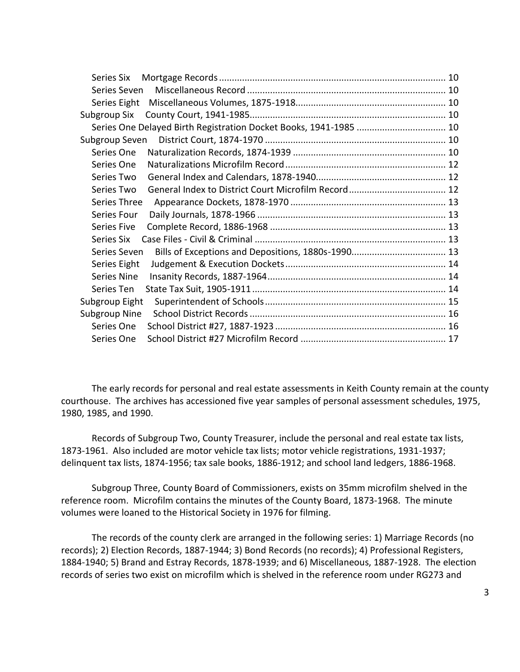| Series Six                                                        |  |
|-------------------------------------------------------------------|--|
| Series Seven                                                      |  |
| Series Eight                                                      |  |
| Subgroup Six                                                      |  |
| Series One Delayed Birth Registration Docket Books, 1941-1985  10 |  |
| Subgroup Seven                                                    |  |
| Series One                                                        |  |
| Series One                                                        |  |
| Series Two                                                        |  |
| Series Two                                                        |  |
| Series Three                                                      |  |
| Series Four                                                       |  |
| Series Five                                                       |  |
| Series Six                                                        |  |
| Series Seven                                                      |  |
| Series Eight                                                      |  |
| Series Nine                                                       |  |
| Series Ten                                                        |  |
| Subgroup Eight                                                    |  |
| <b>Subgroup Nine</b>                                              |  |
| Series One                                                        |  |
| Series One                                                        |  |

The early records for personal and real estate assessments in Keith County remain at the county courthouse. The archives has accessioned five year samples of personal assessment schedules, 1975, 1980, 1985, and 1990.

Records of Subgroup Two, County Treasurer, include the personal and real estate tax lists, 1873-1961. Also included are motor vehicle tax lists; motor vehicle registrations, 1931-1937; delinquent tax lists, 1874-1956; tax sale books, 1886-1912; and school land ledgers, 1886-1968.

Subgroup Three, County Board of Commissioners, exists on 35mm microfilm shelved in the reference room. Microfilm contains the minutes of the County Board, 1873-1968. The minute volumes were loaned to the Historical Society in 1976 for filming.

The records of the county clerk are arranged in the following series: 1) Marriage Records (no records); 2) Election Records, 1887-1944; 3) Bond Records (no records); 4) Professional Registers, 1884-1940; 5) Brand and Estray Records, 1878-1939; and 6) Miscellaneous, 1887-1928. The election records of series two exist on microfilm which is shelved in the reference room under RG273 and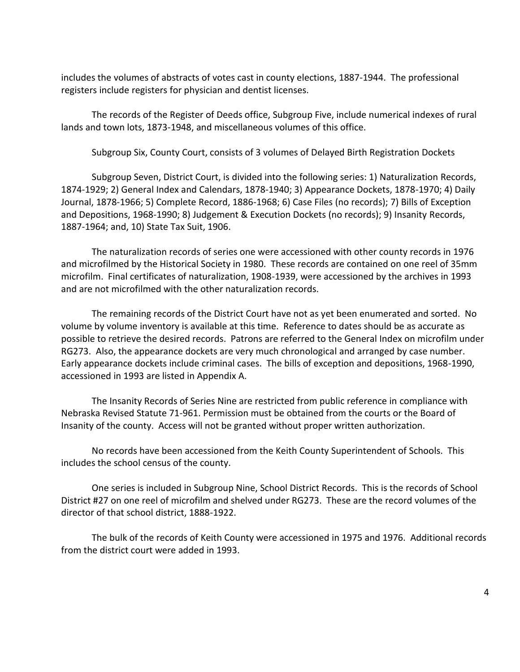includes the volumes of abstracts of votes cast in county elections, 1887-1944. The professional registers include registers for physician and dentist licenses.

The records of the Register of Deeds office, Subgroup Five, include numerical indexes of rural lands and town lots, 1873-1948, and miscellaneous volumes of this office.

Subgroup Six, County Court, consists of 3 volumes of Delayed Birth Registration Dockets

Subgroup Seven, District Court, is divided into the following series: 1) Naturalization Records, 1874-1929; 2) General Index and Calendars, 1878-1940; 3) Appearance Dockets, 1878-1970; 4) Daily Journal, 1878-1966; 5) Complete Record, 1886-1968; 6) Case Files (no records); 7) Bills of Exception and Depositions, 1968-1990; 8) Judgement & Execution Dockets (no records); 9) Insanity Records, 1887-1964; and, 10) State Tax Suit, 1906.

The naturalization records of series one were accessioned with other county records in 1976 and microfilmed by the Historical Society in 1980. These records are contained on one reel of 35mm microfilm. Final certificates of naturalization, 1908-1939, were accessioned by the archives in 1993 and are not microfilmed with the other naturalization records.

The remaining records of the District Court have not as yet been enumerated and sorted. No volume by volume inventory is available at this time. Reference to dates should be as accurate as possible to retrieve the desired records. Patrons are referred to the General Index on microfilm under RG273. Also, the appearance dockets are very much chronological and arranged by case number. Early appearance dockets include criminal cases. The bills of exception and depositions, 1968-1990, accessioned in 1993 are listed in Appendix A.

The Insanity Records of Series Nine are restricted from public reference in compliance with Nebraska Revised Statute 71-961. Permission must be obtained from the courts or the Board of Insanity of the county. Access will not be granted without proper written authorization.

No records have been accessioned from the Keith County Superintendent of Schools. This includes the school census of the county.

One series is included in Subgroup Nine, School District Records. This is the records of School District #27 on one reel of microfilm and shelved under RG273. These are the record volumes of the director of that school district, 1888-1922.

The bulk of the records of Keith County were accessioned in 1975 and 1976. Additional records from the district court were added in 1993.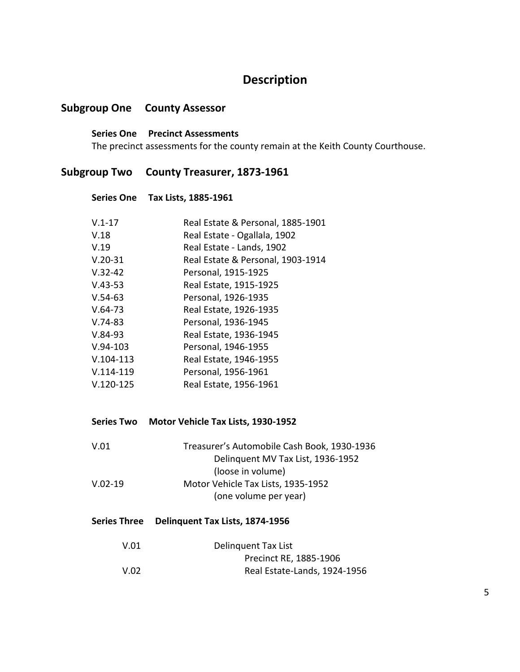# **Description**

# <span id="page-4-1"></span><span id="page-4-0"></span>**Subgroup One County Assessor**

**Series One Precinct Assessments** The precinct assessments for the county remain at the Keith County Courthouse.

## <span id="page-4-3"></span><span id="page-4-2"></span>**Subgroup Two County Treasurer, 1873-1961**

#### **Series One Tax Lists, 1885-1961**

| $V.1 - 17$  | Real Estate & Personal, 1885-1901 |
|-------------|-----------------------------------|
| V.18        | Real Estate - Ogallala, 1902      |
| V.19        | Real Estate - Lands, 1902         |
| $V.20-31$   | Real Estate & Personal, 1903-1914 |
| $V.32 - 42$ | Personal, 1915-1925               |
| $V.43-53$   | Real Estate, 1915-1925            |
| $V.54-63$   | Personal, 1926-1935               |
| $V.64-73$   | Real Estate, 1926-1935            |
| $V.74-83$   | Personal, 1936-1945               |
| $V.84-93$   | Real Estate, 1936-1945            |
| $V.94-103$  | Personal, 1946-1955               |
| $V.104-113$ | Real Estate, 1946-1955            |
| $V.114-119$ | Personal, 1956-1961               |
| $V.120-125$ | Real Estate, 1956-1961            |

<span id="page-4-4"></span>**Series Two Motor Vehicle Tax Lists, 1930-1952**

| V.01      | Treasurer's Automobile Cash Book, 1930-1936 |
|-----------|---------------------------------------------|
|           | Delinguent MV Tax List, 1936-1952           |
|           | (loose in volume)                           |
| $V.02-19$ | Motor Vehicle Tax Lists, 1935-1952          |
|           | (one volume per year)                       |

## <span id="page-4-5"></span>**Series Three Delinquent Tax Lists, 1874-1956**

| V.01 | Delinguent Tax List          |
|------|------------------------------|
|      | Precinct RE, 1885-1906       |
| V.02 | Real Estate-Lands, 1924-1956 |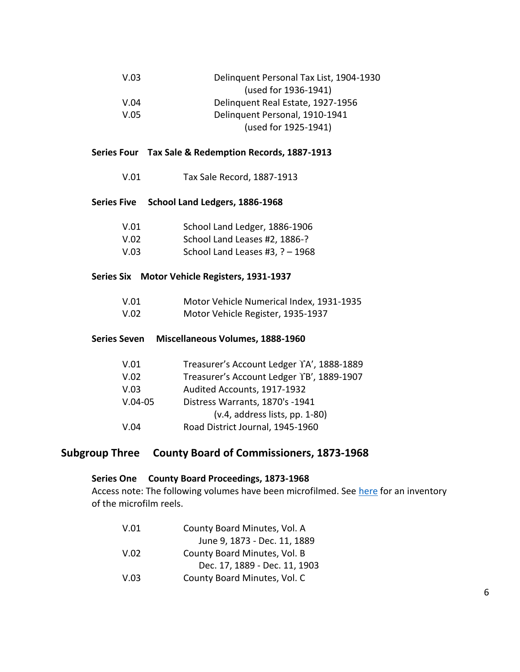| V.03 | Delinquent Personal Tax List, 1904-1930 |
|------|-----------------------------------------|
|      | (used for 1936-1941)                    |
| V.04 | Delinguent Real Estate, 1927-1956       |
| V.05 | Delinquent Personal, 1910-1941          |
|      | (used for 1925-1941)                    |

## <span id="page-5-0"></span>**Series Four Tax Sale & Redemption Records, 1887-1913**

V.01 Tax Sale Record, 1887-1913

#### <span id="page-5-1"></span>**Series Five School Land Ledgers, 1886-1968**

| V.01 | School Land Ledger, 1886-1906     |
|------|-----------------------------------|
| V.02 | School Land Leases #2, 1886-?     |
| V.03 | School Land Leases #3, $? - 1968$ |

#### <span id="page-5-2"></span>**Series Six Motor Vehicle Registers, 1931-1937**

| V.01 | Motor Vehicle Numerical Index, 1931-1935 |
|------|------------------------------------------|
|------|------------------------------------------|

V.02 Motor Vehicle Register, 1935-1937

| V.01 | Treasurer's Account Ledger TA', 1888-1889 |
|------|-------------------------------------------|

<span id="page-5-3"></span>**Series Seven Miscellaneous Volumes, 1888-1960**

|           | Treasurer strictourit Ecuper III, 1000 1005 |
|-----------|---------------------------------------------|
| V.02      | Treasurer's Account Ledger YB', 1889-1907   |
| V.03      | Audited Accounts, 1917-1932                 |
| $V.04-05$ | Distress Warrants, 1870's -1941             |
|           | $(v.4, address lists, pp. 1-80)$            |
| V.04      | Road District Journal, 1945-1960            |

# <span id="page-5-4"></span>**Subgroup Three County Board of Commissioners, 1873-1968**

## <span id="page-5-5"></span>**Series One County Board Proceedings, 1873-1968**

Access note: The following volumes have been microfilmed. See [here](#page-6-1) for an inventory of the microfilm reels.

| V.01 | County Board Minutes, Vol. A  |
|------|-------------------------------|
|      | June 9, 1873 - Dec. 11, 1889  |
| V.02 | County Board Minutes, Vol. B  |
|      | Dec. 17, 1889 - Dec. 11, 1903 |
| V.03 | County Board Minutes, Vol. C  |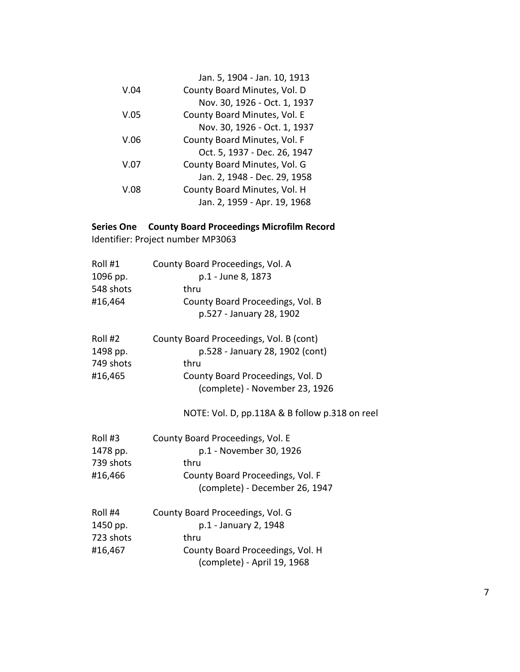<span id="page-6-1"></span>

| Jan. 5, 1904 - Jan. 10, 1913 |
|------------------------------|
| County Board Minutes, Vol. D |
| Nov. 30, 1926 - Oct. 1, 1937 |
| County Board Minutes, Vol. E |
| Nov. 30, 1926 - Oct. 1, 1937 |
| County Board Minutes, Vol. F |
| Oct. 5, 1937 - Dec. 26, 1947 |
| County Board Minutes, Vol. G |
| Jan. 2, 1948 - Dec. 29, 1958 |
| County Board Minutes, Vol. H |
| Jan. 2, 1959 - Apr. 19, 1968 |
|                              |

<span id="page-6-0"></span>**Series One County Board Proceedings Microfilm Record** Identifier: Project number MP3063

| Roll #1<br>1096 pp.<br>548 shots<br>#16,464 | County Board Proceedings, Vol. A<br>p.1 - June 8, 1873<br>thru<br>County Board Proceedings, Vol. B<br>p.527 - January 28, 1902                           |
|---------------------------------------------|----------------------------------------------------------------------------------------------------------------------------------------------------------|
| Roll #2<br>1498 pp.<br>749 shots<br>#16,465 | County Board Proceedings, Vol. B (cont)<br>p.528 - January 28, 1902 (cont)<br>thru<br>County Board Proceedings, Vol. D<br>(complete) - November 23, 1926 |
|                                             | NOTE: Vol. D, pp.118A & B follow p.318 on reel                                                                                                           |
| Roll #3<br>1478 pp.<br>739 shots<br>#16,466 | County Board Proceedings, Vol. E<br>p.1 - November 30, 1926<br>thru<br>County Board Proceedings, Vol. F<br>(complete) - December 26, 1947                |
| Roll #4<br>1450 pp.<br>723 shots<br>#16,467 | County Board Proceedings, Vol. G<br>p.1 - January 2, 1948<br>thru<br>County Board Proceedings, Vol. H<br>(complete) - April 19, 1968                     |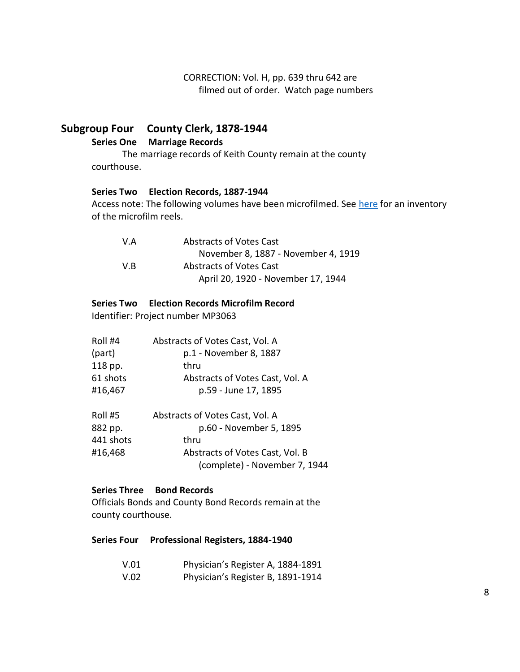CORRECTION: Vol. H, pp. 639 thru 642 are filmed out of order. Watch page numbers

# <span id="page-7-1"></span><span id="page-7-0"></span>**Subgroup Four County Clerk, 1878-1944**

**Series One Marriage Records**

The marriage records of Keith County remain at the county courthouse.

## <span id="page-7-2"></span>**Series Two Election Records, 1887-1944**

Access note: The following volumes have been microfilmed. See [here](#page-7-6) for an inventory of the microfilm reels.

(complete) - November 7, 1944

| V.A | <b>Abstracts of Votes Cast</b>      |
|-----|-------------------------------------|
|     | November 8, 1887 - November 4, 1919 |
| V.B | Abstracts of Votes Cast             |
|     | April 20, 1920 - November 17, 1944  |

## <span id="page-7-6"></span><span id="page-7-3"></span>**Series Two Election Records Microfilm Record**

Identifier: Project number MP3063

| Roll #4   | Abstracts of Votes Cast, Vol. A |
|-----------|---------------------------------|
| (part)    | p.1 - November 8, 1887          |
| 118 pp.   | thru                            |
| 61 shots  | Abstracts of Votes Cast, Vol. A |
| #16,467   | p.59 - June 17, 1895            |
| Roll #5   | Abstracts of Votes Cast, Vol. A |
| 882 pp.   | p.60 - November 5, 1895         |
| 441 shots | thru                            |
| #16,468   | Abstracts of Votes Cast, Vol. B |

#### <span id="page-7-4"></span>**Series Three Bond Records**

Officials Bonds and County Bond Records remain at the county courthouse.

#### <span id="page-7-5"></span>**Series Four Professional Registers, 1884-1940**

| V.01 | Physician's Register A, 1884-1891 |
|------|-----------------------------------|
| V.02 | Physician's Register B, 1891-1914 |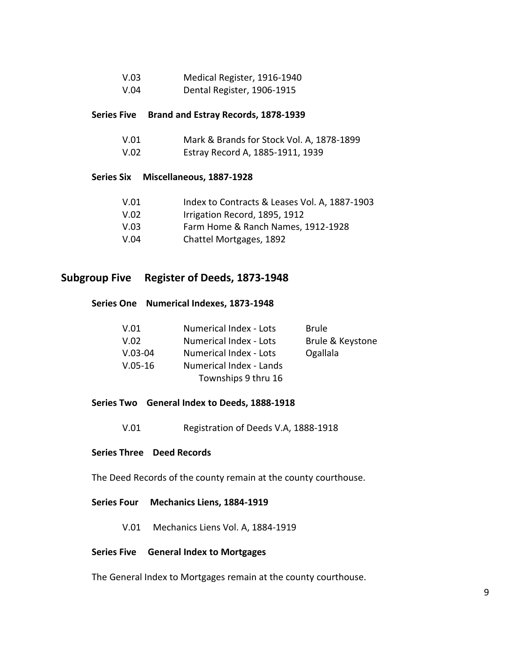| V.03 | Medical Register, 1916-1940 |
|------|-----------------------------|
| V.04 | Dental Register, 1906-1915  |

#### <span id="page-8-0"></span>**Series Five Brand and Estray Records, 1878-1939**

| V.01 | Mark & Brands for Stock Vol. A, 1878-1899 |
|------|-------------------------------------------|
| V.02 | Estray Record A, 1885-1911, 1939          |

#### <span id="page-8-1"></span>**Series Six Miscellaneous, 1887-1928**

| V.01 | Index to Contracts & Leases Vol. A, 1887-1903 |
|------|-----------------------------------------------|
| V.02 | Irrigation Record, 1895, 1912                 |
| V.03 | Farm Home & Ranch Names, 1912-1928            |

V.04 Chattel Mortgages, 1892

# <span id="page-8-3"></span><span id="page-8-2"></span>**Subgroup Five Register of Deeds, 1873-1948**

## **Series One Numerical Indexes, 1873-1948**

| V.01      | Numerical Index - Lots  | <b>Brule</b>     |
|-----------|-------------------------|------------------|
| V.02      | Numerical Index - Lots  | Brule & Keystone |
| $V.03-04$ | Numerical Index - Lots  | Ogallala         |
| $V.05-16$ | Numerical Index - Lands |                  |
|           | Townships 9 thru 16     |                  |

#### <span id="page-8-4"></span>**Series Two General Index to Deeds, 1888-1918**

V.01 Registration of Deeds V.A, 1888-1918

## <span id="page-8-5"></span>**Series Three Deed Records**

The Deed Records of the county remain at the county courthouse.

#### <span id="page-8-6"></span>**Series Four Mechanics Liens, 1884-1919**

V.01 Mechanics Liens Vol. A, 1884-1919

#### <span id="page-8-7"></span>**Series Five General Index to Mortgages**

The General Index to Mortgages remain at the county courthouse.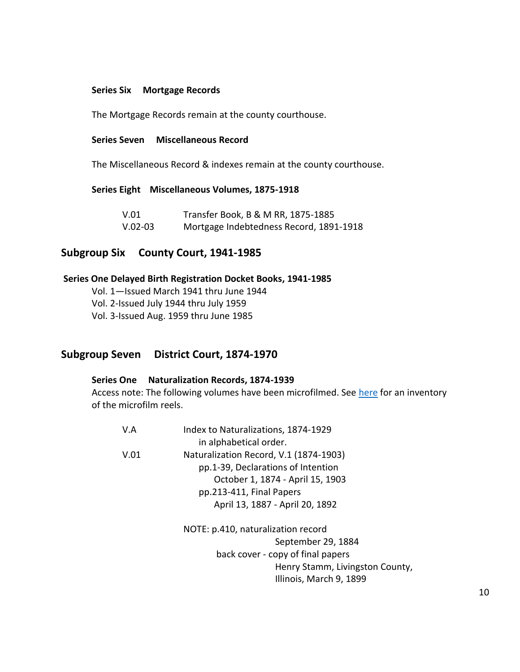#### <span id="page-9-0"></span>**Series Six Mortgage Records**

The Mortgage Records remain at the county courthouse.

## <span id="page-9-1"></span>**Series Seven Miscellaneous Record**

The Miscellaneous Record & indexes remain at the county courthouse.

#### <span id="page-9-2"></span>**Series Eight Miscellaneous Volumes, 1875-1918**

| V.01      | Transfer Book, B & M RR, 1875-1885      |
|-----------|-----------------------------------------|
| $V.02-03$ | Mortgage Indebtedness Record, 1891-1918 |

# <span id="page-9-3"></span>**Subgroup Six County Court, 1941-1985**

#### <span id="page-9-4"></span>**Series One Delayed Birth Registration Docket Books, 1941-1985**

Vol. 1—Issued March 1941 thru June 1944

Vol. 2-Issued July 1944 thru July 1959

Vol. 3-Issued Aug. 1959 thru June 1985

## <span id="page-9-5"></span>**Subgroup Seven District Court, 1874-1970**

## <span id="page-9-6"></span>**Series One Naturalization Records, 1874-1939**

Access note: The following volumes have been microfilmed. See [here](#page-11-3) for an inventory of the microfilm reels.

| V.A  | Index to Naturalizations, 1874-1929    |
|------|----------------------------------------|
|      | in alphabetical order.                 |
| V.01 | Naturalization Record, V.1 (1874-1903) |
|      | pp.1-39, Declarations of Intention     |
|      | October 1, 1874 - April 15, 1903       |
|      | pp.213-411, Final Papers               |
|      | April 13, 1887 - April 20, 1892        |
|      | NOTE: p.410, naturalization record     |
|      | September 29, 1884                     |
|      | back cover - copy of final papers      |
|      | Henry Stamm, Livingston County,        |
|      |                                        |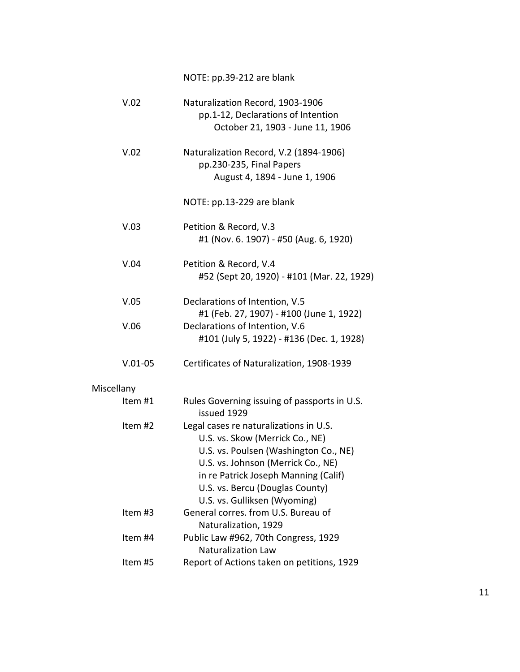NOTE: pp.39-212 are blank

| V.02       | Naturalization Record, 1903-1906<br>pp.1-12, Declarations of Intention<br>October 21, 1903 - June 11, 1906                                                                                                                                                          |
|------------|---------------------------------------------------------------------------------------------------------------------------------------------------------------------------------------------------------------------------------------------------------------------|
| V.02       | Naturalization Record, V.2 (1894-1906)<br>pp.230-235, Final Papers<br>August 4, 1894 - June 1, 1906                                                                                                                                                                 |
|            | NOTE: pp.13-229 are blank                                                                                                                                                                                                                                           |
| V.03       | Petition & Record, V.3<br>#1 (Nov. 6. 1907) - #50 (Aug. 6, 1920)                                                                                                                                                                                                    |
| V.04       | Petition & Record, V.4<br>#52 (Sept 20, 1920) - #101 (Mar. 22, 1929)                                                                                                                                                                                                |
| V.05       | Declarations of Intention, V.5<br>#1 (Feb. 27, 1907) - #100 (June 1, 1922)                                                                                                                                                                                          |
| V.06       | Declarations of Intention, V.6<br>#101 (July 5, 1922) - #136 (Dec. 1, 1928)                                                                                                                                                                                         |
| $V.01-05$  | Certificates of Naturalization, 1908-1939                                                                                                                                                                                                                           |
| Miscellany |                                                                                                                                                                                                                                                                     |
| Item #1    | Rules Governing issuing of passports in U.S.<br>issued 1929                                                                                                                                                                                                         |
| Item #2    | Legal cases re naturalizations in U.S.<br>U.S. vs. Skow (Merrick Co., NE)<br>U.S. vs. Poulsen (Washington Co., NE)<br>U.S. vs. Johnson (Merrick Co., NE)<br>in re Patrick Joseph Manning (Calif)<br>U.S. vs. Bercu (Douglas County)<br>U.S. vs. Gulliksen (Wyoming) |
| Item #3    | General corres. from U.S. Bureau of<br>Naturalization, 1929                                                                                                                                                                                                         |
| Item #4    | Public Law #962, 70th Congress, 1929<br><b>Naturalization Law</b>                                                                                                                                                                                                   |
| Item #5    | Report of Actions taken on petitions, 1929                                                                                                                                                                                                                          |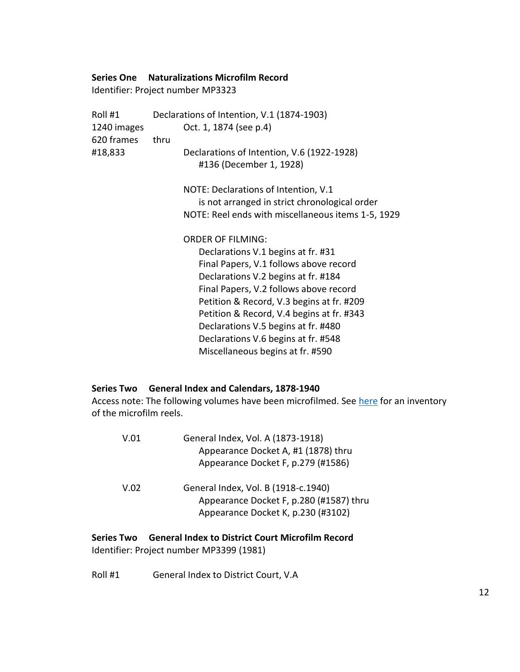#### <span id="page-11-3"></span><span id="page-11-0"></span>**Series One Naturalizations Microfilm Record**

Identifier: Project number MP3323

| Roll #1     | Declarations of Intention, V.1 (1874-1903)         |  |
|-------------|----------------------------------------------------|--|
| 1240 images | Oct. 1, 1874 (see p.4)                             |  |
| 620 frames  | thru                                               |  |
| #18,833     | Declarations of Intention, V.6 (1922-1928)         |  |
|             | #136 (December 1, 1928)                            |  |
|             | NOTE: Declarations of Intention, V.1               |  |
|             | is not arranged in strict chronological order      |  |
|             | NOTE: Reel ends with miscellaneous items 1-5, 1929 |  |
|             | <b>ORDER OF FILMING:</b>                           |  |
|             | Declarations V.1 begins at fr. #31                 |  |
|             | Final Papers, V.1 follows above record             |  |
|             | Declarations V.2 begins at fr. #184                |  |
|             | Final Papers, V.2 follows above record             |  |
|             | Petition & Record, V.3 begins at fr. #209          |  |
|             | Petition & Record, V.4 begins at fr. #343          |  |
|             | Declarations V.5 begins at fr. #480                |  |
|             | Declarations V.6 begins at fr. #548                |  |
|             | Miscellaneous begins at fr. #590                   |  |

## <span id="page-11-1"></span>**Series Two General Index and Calendars, 1878-1940**

Access note: The following volumes have been microfilmed. See [here](#page-11-3) for an inventory of the microfilm reels.

| V.01 | General Index, Vol. A (1873-1918)<br>Appearance Docket A, #1 (1878) thru<br>Appearance Docket F, p.279 (#1586)       |
|------|----------------------------------------------------------------------------------------------------------------------|
| V.02 | General Index, Vol. B (1918-c.1940)<br>Appearance Docket F, p.280 (#1587) thru<br>Appearance Docket K, p.230 (#3102) |

# <span id="page-11-2"></span>**Series Two General Index to District Court Microfilm Record** Identifier: Project number MP3399 (1981)

Roll #1 General Index to District Court, V.A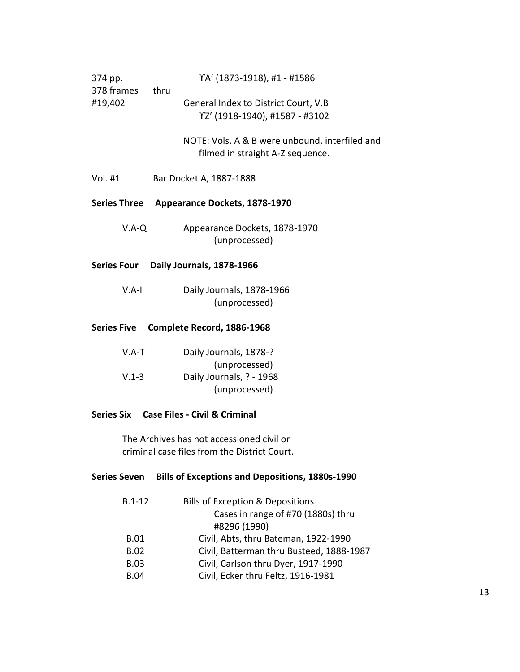<span id="page-12-0"></span>

| 374 pp.<br>378 frames<br>#19,402 | thru | YA' (1873-1918), #1 - #1586                                                        |
|----------------------------------|------|------------------------------------------------------------------------------------|
|                                  |      | General Index to District Court, V.B<br>YZ' (1918-1940), #1587 - #3102             |
|                                  |      | NOTE: Vols. A & B were unbound, interfiled and<br>filmed in straight A-Z sequence. |
| Vol. #1                          |      | Bar Docket A, 1887-1888                                                            |
| <b>Series Three</b>              |      | Appearance Dockets, 1878-1970                                                      |
| $V.A-Q$                          |      | Appearance Dockets, 1878-1970<br>(unprocessed)                                     |
|                                  |      | Series Four Daily Journals, 1878-1966                                              |
| $V.A-I$                          |      | Daily Journals, 1878-1966<br>(unprocessed)                                         |
| <b>Series Five</b>               |      | Complete Record, 1886-1968                                                         |
| $V.A-T$                          |      | Daily Journals, 1878-?                                                             |
| $V.1 - 3$                        |      | (unprocessed)<br>Daily Journals, ? - 1968                                          |

#### <span id="page-12-3"></span><span id="page-12-2"></span><span id="page-12-1"></span>**Series Six Case Files - Civil & Criminal**

The Archives has not accessioned civil or criminal case files from the District Court.

## <span id="page-12-4"></span>**Series Seven Bills of Exceptions and Depositions, 1880s-1990**

| $B.1 - 12$  | Bills of Exception & Depositions         |
|-------------|------------------------------------------|
|             | Cases in range of #70 (1880s) thru       |
|             | #8296 (1990)                             |
| <b>B.01</b> | Civil, Abts, thru Bateman, 1922-1990     |
| <b>B.02</b> | Civil, Batterman thru Busteed, 1888-1987 |
| <b>B.03</b> | Civil, Carlson thru Dyer, 1917-1990      |
| <b>B.04</b> | Civil, Ecker thru Feltz, 1916-1981       |

(unprocessed)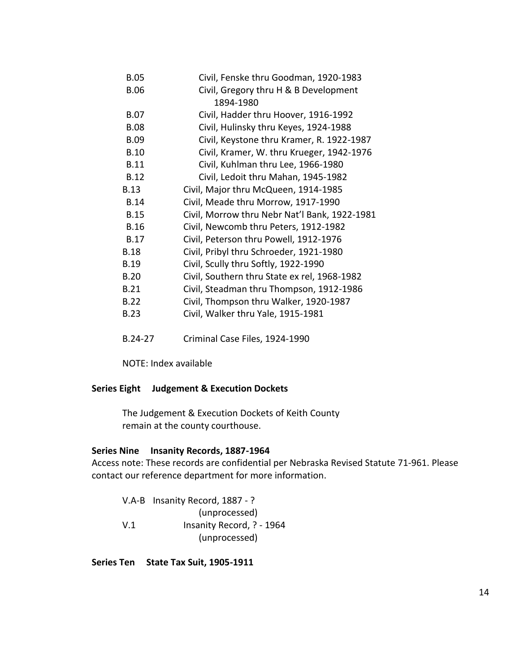| <b>B.05</b> | Civil, Fenske thru Goodman, 1920-1983         |
|-------------|-----------------------------------------------|
| <b>B.06</b> | Civil, Gregory thru H & B Development         |
|             | 1894-1980                                     |
| <b>B.07</b> | Civil, Hadder thru Hoover, 1916-1992          |
| <b>B.08</b> | Civil, Hulinsky thru Keyes, 1924-1988         |
| <b>B.09</b> | Civil, Keystone thru Kramer, R. 1922-1987     |
| <b>B.10</b> | Civil, Kramer, W. thru Krueger, 1942-1976     |
| <b>B.11</b> | Civil, Kuhlman thru Lee, 1966-1980            |
| <b>B.12</b> | Civil, Ledoit thru Mahan, 1945-1982           |
| <b>B.13</b> | Civil, Major thru McQueen, 1914-1985          |
| <b>B.14</b> | Civil, Meade thru Morrow, 1917-1990           |
| <b>B.15</b> | Civil, Morrow thru Nebr Nat'l Bank, 1922-1981 |
| <b>B.16</b> | Civil, Newcomb thru Peters, 1912-1982         |
| <b>B.17</b> | Civil, Peterson thru Powell, 1912-1976        |
| <b>B.18</b> | Civil, Pribyl thru Schroeder, 1921-1980       |
| <b>B.19</b> | Civil, Scully thru Softly, 1922-1990          |
| <b>B.20</b> | Civil, Southern thru State ex rel, 1968-1982  |
| <b>B.21</b> | Civil, Steadman thru Thompson, 1912-1986      |
| <b>B.22</b> | Civil, Thompson thru Walker, 1920-1987        |
| <b>B.23</b> | Civil, Walker thru Yale, 1915-1981            |
|             |                                               |
|             |                                               |

B.24-27 Criminal Case Files, 1924-1990

NOTE: Index available

## <span id="page-13-0"></span>**Series Eight Judgement & Execution Dockets**

The Judgement & Execution Dockets of Keith County remain at the county courthouse.

#### <span id="page-13-1"></span>**Series Nine Insanity Records, 1887-1964**

Access note: These records are confidential per Nebraska Revised Statute 71-961. Please contact our reference department for more information.

|     | V.A-B Insanity Record, 1887 - ? |
|-----|---------------------------------|
|     | (unprocessed)                   |
| V.1 | Insanity Record, ? - 1964       |
|     | (unprocessed)                   |

<span id="page-13-2"></span>**Series Ten State Tax Suit, 1905-1911**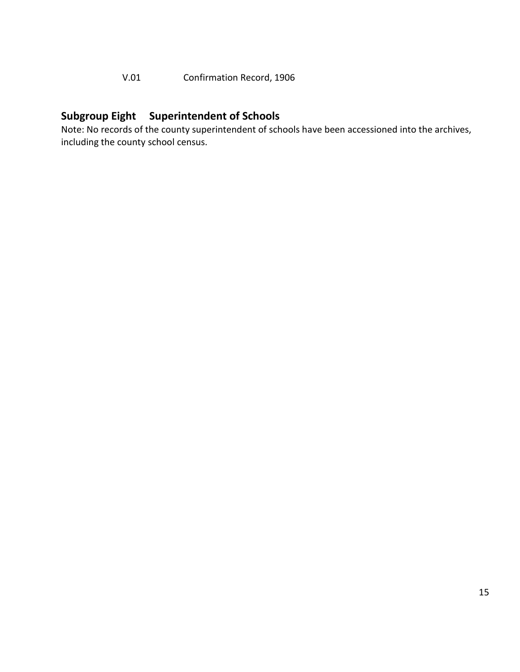# V.01 Confirmation Record, 1906

# <span id="page-14-0"></span>**Subgroup Eight Superintendent of Schools**

Note: No records of the county superintendent of schools have been accessioned into the archives, including the county school census.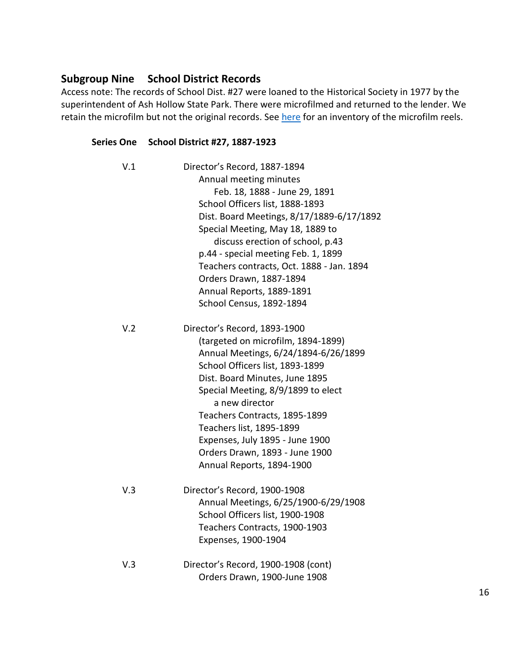# <span id="page-15-0"></span>**Subgroup Nine School District Records**

Access note: The records of School Dist. #27 were loaned to the Historical Society in 1977 by the superintendent of Ash Hollow State Park. There were microfilmed and returned to the lender. We retain the microfilm but not the original records. See [here](#page-11-3) for an inventory of the microfilm reels.

## <span id="page-15-1"></span>**Series One School District #27, 1887-1923**

| V.1 | Director's Record, 1887-1894              |
|-----|-------------------------------------------|
|     | Annual meeting minutes                    |
|     | Feb. 18, 1888 - June 29, 1891             |
|     | School Officers list, 1888-1893           |
|     | Dist. Board Meetings, 8/17/1889-6/17/1892 |
|     | Special Meeting, May 18, 1889 to          |
|     | discuss erection of school, p.43          |
|     | p.44 - special meeting Feb. 1, 1899       |
|     | Teachers contracts, Oct. 1888 - Jan. 1894 |
|     | Orders Drawn, 1887-1894                   |
|     | Annual Reports, 1889-1891                 |
|     | School Census, 1892-1894                  |
| V.2 | Director's Record, 1893-1900              |
|     | (targeted on microfilm, 1894-1899)        |
|     | Annual Meetings, 6/24/1894-6/26/1899      |
|     | School Officers list, 1893-1899           |
|     | Dist. Board Minutes, June 1895            |
|     | Special Meeting, 8/9/1899 to elect        |
|     | a new director                            |
|     | Teachers Contracts, 1895-1899             |
|     | Teachers list, 1895-1899                  |
|     | Expenses, July 1895 - June 1900           |
|     | Orders Drawn, 1893 - June 1900            |
|     | Annual Reports, 1894-1900                 |
| V.3 | Director's Record, 1900-1908              |
|     | Annual Meetings, 6/25/1900-6/29/1908      |
|     | School Officers list, 1900-1908           |
|     | Teachers Contracts, 1900-1903             |
|     | Expenses, 1900-1904                       |
| V.3 | Director's Record, 1900-1908 (cont)       |
|     | Orders Drawn, 1900-June 1908              |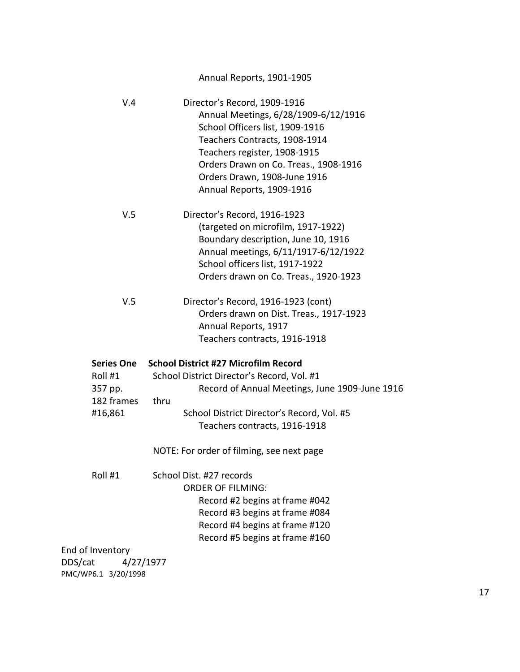# Annual Reports, 1901-1905

| V.4                                                       | Director's Record, 1909-1916<br>Annual Meetings, 6/28/1909-6/12/1916<br>School Officers list, 1909-1916<br>Teachers Contracts, 1908-1914<br>Teachers register, 1908-1915<br>Orders Drawn on Co. Treas., 1908-1916<br>Orders Drawn, 1908-June 1916<br>Annual Reports, 1909-1916 |
|-----------------------------------------------------------|--------------------------------------------------------------------------------------------------------------------------------------------------------------------------------------------------------------------------------------------------------------------------------|
| V.5                                                       | Director's Record, 1916-1923<br>(targeted on microfilm, 1917-1922)<br>Boundary description, June 10, 1916<br>Annual meetings, 6/11/1917-6/12/1922<br>School officers list, 1917-1922<br>Orders drawn on Co. Treas., 1920-1923                                                  |
| V.5                                                       | Director's Record, 1916-1923 (cont)<br>Orders drawn on Dist. Treas., 1917-1923<br>Annual Reports, 1917<br>Teachers contracts, 1916-1918                                                                                                                                        |
| Series One<br>Roll #1<br>357 pp.<br>182 frames<br>#16,861 | <b>School District #27 Microfilm Record</b><br>School District Director's Record, Vol. #1<br>Record of Annual Meetings, June 1909-June 1916<br>thru<br>School District Director's Record, Vol. #5                                                                              |
|                                                           | Teachers contracts, 1916-1918<br>NOTE: For order of filming, see next page                                                                                                                                                                                                     |
| Roll #1                                                   | School Dist. #27 records<br><b>ORDER OF FILMING:</b><br>Record #2 begins at frame #042<br>Record #3 begins at frame #084<br>Record #4 begins at frame #120<br>Record #5 begins at frame #160                                                                                   |

<span id="page-16-0"></span>End of Inventory DDS/cat 4/27/1977 PMC/WP6.1 3/20/1998